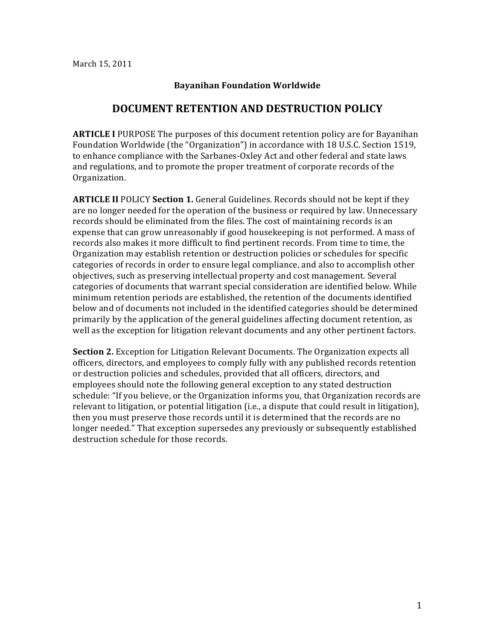## **Bayanihan'Foundation'Worldwide**

## **DOCUMENT'RETENTION'AND'DESTRUCTION'POLICY**

**ARTICLE I** PURPOSE The purposes of this document retention policy are for Bayanihan Foundation Worldwide (the "Organization") in accordance with 18 U.S.C. Section 1519, to enhance compliance with the Sarbanes-Oxley Act and other federal and state laws and regulations, and to promote the proper treatment of corporate records of the Organization.!

**ARTICLE II** POLICY **Section 1.** General Guidelines. Records should not be kept if they are no longer needed for the operation of the business or required by law. Unnecessary records should be eliminated from the files. The cost of maintaining records is an expense that can grow unreasonably if good housekeeping is not performed. A mass of records also makes it more difficult to find pertinent records. From time to time, the Organization may establish retention or destruction policies or schedules for specific categories of records in order to ensure legal compliance, and also to accomplish other objectives, such as preserving intellectual property and cost management. Several categories of documents that warrant special consideration are identified below. While minimum retention periods are established, the retention of the documents identified below and of documents not included in the identified categories should be determined primarily by the application of the general guidelines affecting document retention, as well as the exception for litigation relevant documents and any other pertinent factors.

**Section 2.** Exception for Litigation Relevant Documents. The Organization expects all officers, directors, and employees to comply fully with any published records retention or destruction policies and schedules, provided that all officers, directors, and employees should note the following general exception to any stated destruction schedule: "If you believe, or the Organization informs you, that Organization records are relevant to litigation, or potential litigation (i.e., a dispute that could result in litigation), then you must preserve those records until it is determined that the records are no longer needed." That exception supersedes any previously or subsequently established destruction schedule for those records.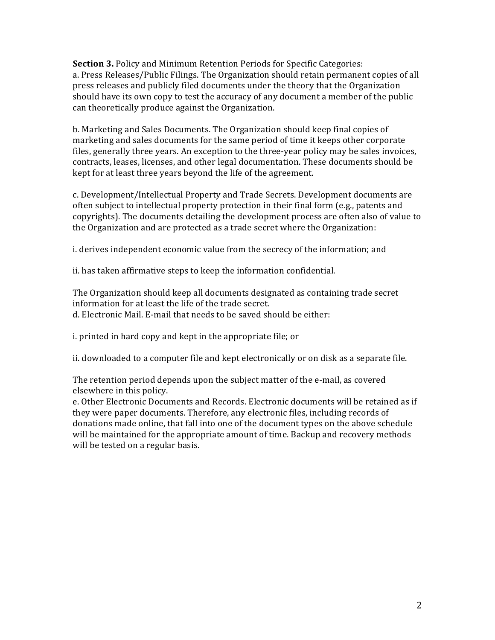**Section 3.** Policy and Minimum Retention Periods for Specific Categories: a. Press Releases/Public Filings. The Organization should retain permanent copies of all press releases and publicly filed documents under the theory that the Organization should have its own copy to test the accuracy of any document a member of the public can theoretically produce against the Organization.

b. Marketing and Sales Documents. The Organization should keep final copies of marketing and sales documents for the same period of time it keeps other corporate files, generally three years. An exception to the three-year policy may be sales invoices, contracts, leases, licenses, and other legal documentation. These documents should be kept for at least three years beyond the life of the agreement.

c. Development/Intellectual Property and Trade Secrets. Development documents are often subject to intellectual property protection in their final form (e.g., patents and copyrights). The documents detailing the development process are often also of value to the Organization and are protected as a trade secret where the Organization:

i. derives independent economic value from the secrecy of the information; and

ii. has taken affirmative steps to keep the information confidential.

The Organization should keep all documents designated as containing trade secret information for at least the life of the trade secret. d. Electronic Mail. E-mail that needs to be saved should be either:

i. printed in hard copy and kept in the appropriate file; or

ii. downloaded to a computer file and kept electronically or on disk as a separate file.

The retention period depends upon the subject matter of the e-mail, as covered elsewhere in this policy.

e. Other Electronic Documents and Records. Electronic documents will be retained as if they were paper documents. Therefore, any electronic files, including records of donations made online, that fall into one of the document types on the above schedule will be maintained for the appropriate amount of time. Backup and recovery methods will be tested on a regular basis.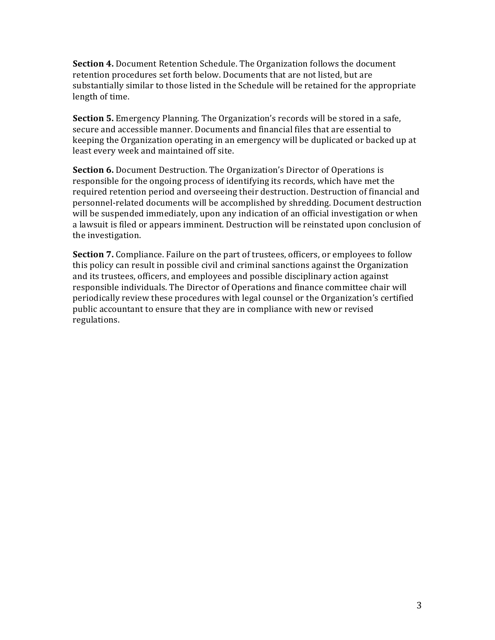**Section 4.** Document Retention Schedule. The Organization follows the document retention procedures set forth below. Documents that are not listed, but are substantially similar to those listed in the Schedule will be retained for the appropriate length of time.

**Section 5.** Emergency Planning. The Organization's records will be stored in a safe, secure and accessible manner. Documents and financial files that are essential to keeping the Organization operating in an emergency will be duplicated or backed up at least every week and maintained off site.

**Section 6.** Document Destruction. The Organization's Director of Operations is responsible for the ongoing process of identifying its records, which have met the required retention period and overseeing their destruction. Destruction of financial and personnel-related documents will be accomplished by shredding. Document destruction will be suspended immediately, upon any indication of an official investigation or when a lawsuit is filed or appears imminent. Destruction will be reinstated upon conclusion of the investigation.

**Section 7.** Compliance. Failure on the part of trustees, officers, or employees to follow this policy can result in possible civil and criminal sanctions against the Organization and its trustees, officers, and employees and possible disciplinary action against responsible individuals. The Director of Operations and finance committee chair will periodically review these procedures with legal counsel or the Organization's certified public accountant to ensure that they are in compliance with new or revised regulations.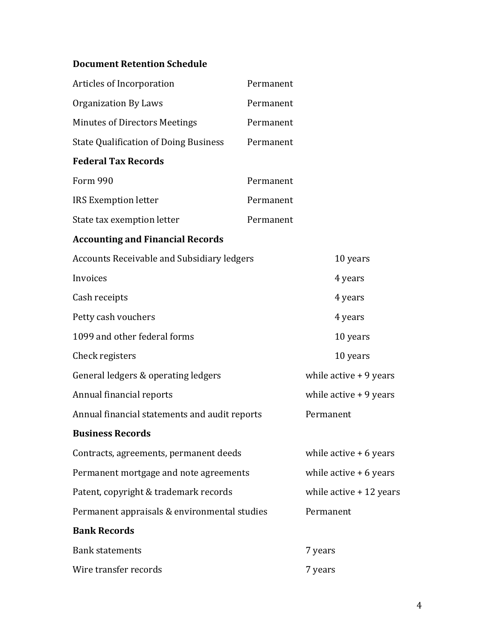## **Document Retention Schedule**

| Articles of Incorporation                         | Permanent |                          |
|---------------------------------------------------|-----------|--------------------------|
| <b>Organization By Laws</b>                       | Permanent |                          |
| <b>Minutes of Directors Meetings</b>              | Permanent |                          |
| <b>State Qualification of Doing Business</b>      | Permanent |                          |
| <b>Federal Tax Records</b>                        |           |                          |
| <b>Form 990</b>                                   | Permanent |                          |
| <b>IRS Exemption letter</b>                       | Permanent |                          |
| State tax exemption letter                        | Permanent |                          |
| <b>Accounting and Financial Records</b>           |           |                          |
| <b>Accounts Receivable and Subsidiary ledgers</b> |           | 10 years                 |
| Invoices                                          |           | 4 years                  |
| Cash receipts                                     |           | 4 years                  |
| Petty cash vouchers                               |           | 4 years                  |
| 1099 and other federal forms                      |           | 10 years                 |
| Check registers                                   |           | 10 years                 |
| General ledgers & operating ledgers               |           | while active $+9$ years  |
| Annual financial reports                          |           | while $active + 9$ years |
| Annual financial statements and audit reports     |           | Permanent                |
| <b>Business Records</b>                           |           |                          |
| Contracts, agreements, permanent deeds            |           | while active $+6$ years  |
| Permanent mortgage and note agreements            |           | while $active + 6$ years |
| Patent, copyright & trademark records             |           | while active $+12$ years |
| Permanent appraisals & environmental studies      |           | Permanent                |
| <b>Bank Records</b>                               |           |                          |
| <b>Bank statements</b>                            |           | 7 years                  |
| Wire transfer records                             |           | 7 years                  |